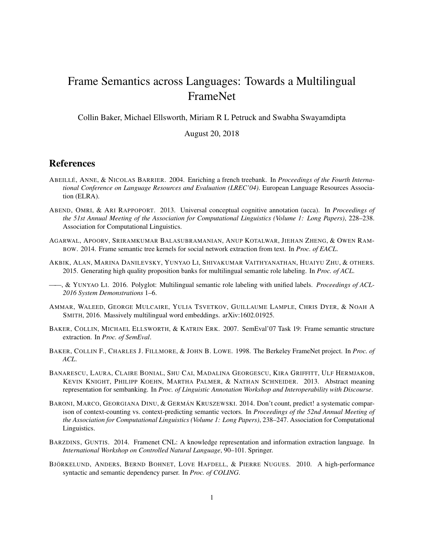## Frame Semantics across Languages: Towards a Multilingual FrameNet

Collin Baker, Michael Ellsworth, Miriam R L Petruck and Swabha Swayamdipta

August 20, 2018

## References

- ABEILLÉ, ANNE, & NICOLAS BARRIER. 2004. Enriching a french treebank. In *Proceedings of the Fourth International Conference on Language Resources and Evaluation (LREC'04)*. European Language Resources Association (ELRA).
- ABEND, OMRI, & ARI RAPPOPORT. 2013. Universal conceptual cognitive annotation (ucca). In *Proceedings of the 51st Annual Meeting of the Association for Computational Linguistics (Volume 1: Long Papers)*, 228–238. Association for Computational Linguistics.
- AGARWAL, APOORV, SRIRAMKUMAR BALASUBRAMANIAN, ANUP KOTALWAR, JIEHAN ZHENG, & OWEN RAM-BOW. 2014. Frame semantic tree kernels for social network extraction from text. In *Proc. of EACL*.
- AKBIK, ALAN, MARINA DANILEVSKY, YUNYAO LI, SHIVAKUMAR VAITHYANATHAN, HUAIYU ZHU, & OTHERS. 2015. Generating high quality proposition banks for multilingual semantic role labeling. In *Proc. of ACL*.
- ——, & YUNYAO LI. 2016. Polyglot: Multilingual semantic role labeling with unified labels. *Proceedings of ACL-2016 System Demonstrations* 1–6.
- AMMAR, WALEED, GEORGE MULCAIRE, YULIA TSVETKOV, GUILLAUME LAMPLE, CHRIS DYER, & NOAH A SMITH, 2016. Massively multilingual word embeddings. arXiv:1602.01925.
- BAKER, COLLIN, MICHAEL ELLSWORTH, & KATRIN ERK. 2007. SemEval'07 Task 19: Frame semantic structure extraction. In *Proc. of SemEval*.
- BAKER, COLLIN F., CHARLES J. FILLMORE, & JOHN B. LOWE. 1998. The Berkeley FrameNet project. In *Proc. of ACL*.
- BANARESCU, LAURA, CLAIRE BONIAL, SHU CAI, MADALINA GEORGESCU, KIRA GRIFFITT, ULF HERMJAKOB, KEVIN KNIGHT, PHILIPP KOEHN, MARTHA PALMER, & NATHAN SCHNEIDER. 2013. Abstract meaning representation for sembanking. In *Proc. of Linguistic Annotation Workshop and Interoperability with Discourse*.
- BARONI, MARCO, GEORGIANA DINU, & GERMÁN KRUSZEWSKI. 2014. Don't count, predict! a systematic comparison of context-counting vs. context-predicting semantic vectors. In *Proceedings of the 52nd Annual Meeting of the Association for Computational Linguistics (Volume 1: Long Papers)*, 238–247. Association for Computational Linguistics.
- BARZDINS, GUNTIS. 2014. Framenet CNL: A knowledge representation and information extraction language. In *International Workshop on Controlled Natural Language*, 90–101. Springer.
- BJÖRKELUND, ANDERS, BERND BOHNET, LOVE HAFDELL, & PIERRE NUGUES. 2010. A high-performance syntactic and semantic dependency parser. In *Proc. of COLING*.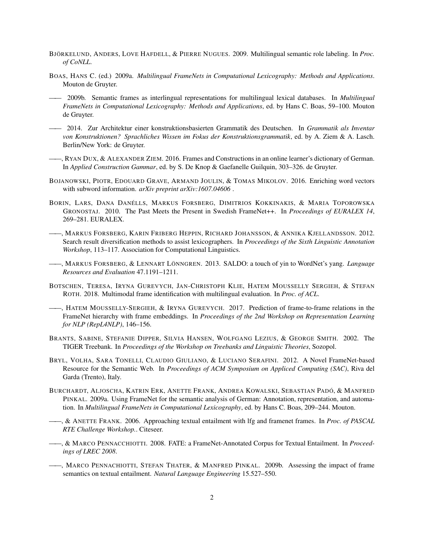- BJÖRKELUND, ANDERS, LOVE HAFDELL, & PIERRE NUGUES. 2009. Multilingual semantic role labeling. In *Proc. of CoNLL*.
- BOAS, HANS C. (ed.) 2009a. *Multilingual FrameNets in Computational Lexicography: Methods and Applications*. Mouton de Gruyter.
- —— 2009b. Semantic frames as interlingual representations for multilingual lexical databases. In *Multilingual FrameNets in Computational Lexicography: Methods and Applications*, ed. by Hans C. Boas, 59–100. Mouton de Gruyter.
- —— 2014. Zur Architektur einer konstruktionsbasierten Grammatik des Deutschen. In *Grammatik als Inventar von Konstruktionen? Sprachliches Wissen im Fokus der Konstruktionsgrammatik*, ed. by A. Ziem & A. Lasch. Berlin/New York: de Gruyter.
- ——, RYAN DUX, & ALEXANDER ZIEM. 2016. Frames and Constructions in an online learner's dictionary of German. In *Applied Construction Gammar*, ed. by S. De Knop & Gaefanelle Guilquin, 303–326. de Gruyter.
- BOJANOWSKI, PIOTR, EDOUARD GRAVE, ARMAND JOULIN, & TOMAS MIKOLOV. 2016. Enriching word vectors with subword information. *arXiv preprint arXiv:1607.04606* .
- BORIN, LARS, DANA DANÉLLS, MARKUS FORSBERG, DIMITRIOS KOKKINAKIS, & MARIA TOPOROWSKA GRONOSTAJ. 2010. The Past Meets the Present in Swedish FrameNet++. In *Proceedings of EURALEX 14*, 269–281. EURALEX.
- ——, MARKUS FORSBERG, KARIN FRIBERG HEPPIN, RICHARD JOHANSSON, & ANNIKA KJELLANDSSON. 2012. Search result diversification methods to assist lexicographers. In *Proceedings of the Sixth Linguistic Annotation Workshop*, 113–117. Association for Computational Linguistics.
- ——, MARKUS FORSBERG, & LENNART LÖNNGREN. 2013. SALDO: a touch of yin to WordNet's yang. *Language Resources and Evaluation* 47.1191–1211.
- BOTSCHEN, TERESA, IRYNA GUREVYCH, JAN-CHRISTOPH KLIE, HATEM MOUSSELLY SERGIEH, & STEFAN ROTH. 2018. Multimodal frame identification with multilingual evaluation. In *Proc. of ACL*.
- ——, HATEM MOUSSELLY-SERGIEH, & IRYNA GUREVYCH. 2017. Prediction of frame-to-frame relations in the FrameNet hierarchy with frame embeddings. In *Proceedings of the 2nd Workshop on Representation Learning for NLP (RepL4NLP)*, 146–156.
- BRANTS, SABINE, STEFANIE DIPPER, SILVIA HANSEN, WOLFGANG LEZIUS, & GEORGE SMITH. 2002. The TIGER Treebank. In *Proceedings of the Workshop on Treebanks and Linguistic Theories*, Sozopol.
- BRYL, VOLHA, SARA TONELLI, CLAUDIO GIULIANO, & LUCIANO SERAFINI. 2012. A Novel FrameNet-based Resource for the Semantic Web. In *Proceedings of ACM Symposium on Appliced Computing (SAC)*, Riva del Garda (Trento), Italy.
- BURCHARDT, ALJOSCHA, KATRIN ERK, ANETTE FRANK, ANDREA KOWALSKI, SEBASTIAN PADÓ, & MANFRED PINKAL. 2009a. Using FrameNet for the semantic analysis of German: Annotation, representation, and automation. In *Multilingual FrameNets in Computational Lexicography*, ed. by Hans C. Boas, 209–244. Mouton.
- ——, & ANETTE FRANK. 2006. Approaching textual entailment with lfg and framenet frames. In *Proc. of PASCAL RTE Challenge Workshop.*. Citeseer.
- ——, & MARCO PENNACCHIOTTI. 2008. FATE: a FrameNet-Annotated Corpus for Textual Entailment. In *Proceedings of LREC 2008*.
- ——, MARCO PENNACHIOTTI, STEFAN THATER, & MANFRED PINKAL. 2009b. Assessing the impact of frame semantics on textual entailment. *Natural Language Engineering* 15.527–550.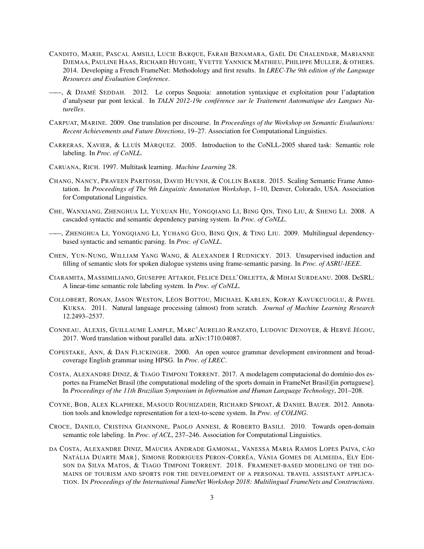- CANDITO, MARIE, PASCAL AMSILI, LUCIE BARQUE, FARAH BENAMARA, GAËL DE CHALENDAR, MARIANNE DJEMAA, PAULINE HAAS, RICHARD HUYGHE, YVETTE YANNICK MATHIEU, PHILIPPE MULLER, & OTHERS. 2014. Developing a French FrameNet: Methodology and first results. In *LREC-The 9th edition of the Language Resources and Evaluation Conference*.
- ——, & DJAMÉ SEDDAH. 2012. Le corpus Sequoia: annotation syntaxique et exploitation pour l'adaptation d'analyseur par pont lexical. In *TALN 2012-19e conférence sur le Traitement Automatique des Langues Naturelles*.
- CARPUAT, MARINE. 2009. One translation per discourse. In *Proceedings of the Workshop on Semantic Evaluations: Recent Achievements and Future Directions*, 19–27. Association for Computational Linguistics.
- CARRERAS, XAVIER, & LLUÍS MÀRQUEZ. 2005. Introduction to the CoNLL-2005 shared task: Semantic role labeling. In *Proc. of CoNLL*.
- CARUANA, RICH. 1997. Multitask learning. *Machine Learning* 28.
- CHANG, NANCY, PRAVEEN PARITOSH, DAVID HUYNH, & COLLIN BAKER. 2015. Scaling Semantic Frame Annotation. In *Proceedings of The 9th Linguistic Annotation Workshop*, 1–10, Denver, Colorado, USA. Association for Computational Linguistics.
- CHE, WANXIANG, ZHENGHUA LI, YUXUAN HU, YONGQIANG LI, BING QIN, TING LIU, & SHENG LI. 2008. A cascaded syntactic and semantic dependency parsing system. In *Proc. of CoNLL*.
- ——, ZHENGHUA LI, YONGQIANG LI, YUHANG GUO, BING QIN, & TING LIU. 2009. Multilingual dependencybased syntactic and semantic parsing. In *Proc. of CoNLL*.
- CHEN, YUN-NUNG, WILLIAM YANG WANG, & ALEXANDER I RUDNICKY. 2013. Unsupervised induction and filling of semantic slots for spoken dialogue systems using frame-semantic parsing. In *Proc. of ASRU-IEEE*.
- CIARAMITA, MASSIMILIANO, GIUSEPPE ATTARDI, FELICE DELL'ORLETTA, & MIHAI SURDEANU. 2008. DeSRL: A linear-time semantic role labeling system. In *Proc. of CoNLL*.
- COLLOBERT, RONAN, JASON WESTON, LÉON BOTTOU, MICHAEL KARLEN, KORAY KAVUKCUOGLU, & PAVEL KUKSA. 2011. Natural language processing (almost) from scratch. *Journal of Machine Learning Research* 12.2493–2537.
- CONNEAU, ALEXIS, GUILLAUME LAMPLE, MARC'AURELIO RANZATO, LUDOVIC DENOYER, & HERVÉ JÉGOU, 2017. Word translation without parallel data. arXiv:1710.04087.
- COPESTAKE, ANN, & DAN FLICKINGER. 2000. An open source grammar development environment and broadcoverage English grammar using HPSG. In *Proc. of LREC*.
- COSTA, ALEXANDRE DINIZ, & TIAGO TIMPONI TORRENT. 2017. A modelagem computacional do domínio dos esportes na FrameNet Brasil (the computational modeling of the sports domain in FrameNet Brasil)[in portuguese]. In *Proceedings of the 11th Brazilian Symposium in Information and Human Language Technology*, 201–208.
- COYNE, BOB, ALEX KLAPHEKE, MASOUD ROUHIZADEH, RICHARD SPROAT, & DANIEL BAUER. 2012. Annotation tools and knowledge representation for a text-to-scene system. In *Proc. of COLING*.
- CROCE, DANILO, CRISTINA GIANNONE, PAOLO ANNESI, & ROBERTO BASILI. 2010. Towards open-domain semantic role labeling. In *Proc. of ACL*, 237–246. Association for Computational Linguistics.
- DA COSTA, ALEXANDRE DINIZ, MAUCHA ANDRADE GAMONAL, VANESSA MARIA RAMOS LOPES PAIVA, CÃO NATÁLIA DUARTE MAR}, SIMONE RODRIGUES PERON-CORRÊA, VÂNIA GOMES DE ALMEIDA, ELY EDI-SON DA SILVA MATOS, & TIAGO TIMPONI TORRENT. 2018. FRAMENET-BASED MODELING OF THE DO-MAINS OF TOURISM AND SPORTS FOR THE DEVELOPMENT OF A PERSONAL TRAVEL ASSISTANT APPLICA-TION. IN *Proceedings of the International FameNet Workshop 2018: Multilingual FrameNets and Constructions*.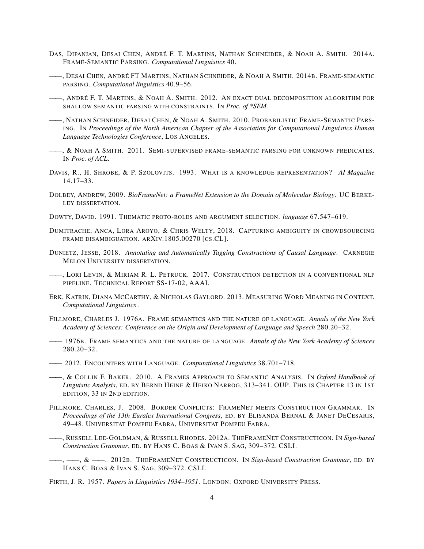- DAS, DIPANJAN, DESAI CHEN, ANDRÉ F. T. MARTINS, NATHAN SCHNEIDER, & NOAH A. SMITH. 2014A. FRAME-SEMANTIC PARSING. *Computational Linguistics* 40.
- ——, DESAI CHEN, ANDRÉ FT MARTINS, NATHAN SCHNEIDER, & NOAH A SMITH. 2014B. FRAME-SEMANTIC PARSING. *Computational linguistics* 40.9–56.
- ——, ANDRÉ F. T. MARTINS, & NOAH A. SMITH. 2012. AN EXACT DUAL DECOMPOSITION ALGORITHM FOR SHALLOW SEMANTIC PARSING WITH CONSTRAINTS. IN *Proc. of \*SEM*.
- ——, NATHAN SCHNEIDER, DESAI CHEN, & NOAH A. SMITH. 2010. PROBABILISTIC FRAME-SEMANTIC PARS-ING. IN *Proceedings of the North American Chapter of the Association for Computational Linguistics Human Language Technologies Conference*, LOS ANGELES.
- **——, & NOAH A SMITH. 2011. SEMI-SUPERVISED FRAME-SEMANTIC PARSING FOR UNKNOWN PREDICATES.** IN *Proc. of ACL*.
- DAVIS, R., H. SHROBE, & P. SZOLOVITS. 1993. WHAT IS A KNOWLEDGE REPRESENTATION? *AI Magazine* 14.17–33.
- DOLBEY, ANDREW, 2009. *BioFrameNet: a FrameNet Extension to the Domain of Molecular Biology*. UC BERKE-LEY DISSERTATION.
- DOWTY, DAVID. 1991. THEMATIC PROTO-ROLES AND ARGUMENT SELECTION. *language* 67.547–619.
- DUMITRACHE, ANCA, LORA AROYO, & CHRIS WELTY, 2018. CAPTURING AMBIGUITY IN CROWDSOURCING FRAME DISAMBIGUATION. ARXIV:1805.00270 [CS.CL].
- DUNIETZ, JESSE, 2018. *Annotating and Automatically Tagging Constructions of Causal Language*. CARNEGIE MELON UNIVERSITY DISSERTATION.
- -, LORI LEVIN, & MIRIAM R. L. PETRUCK. 2017. CONSTRUCTION DETECTION IN A CONVENTIONAL NLP PIPELINE. TECHNICAL REPORT SS-17-02, AAAI.
- ERK, KATRIN, DIANA MCCARTHY, & NICHOLAS GAYLORD. 2013. MEASURING WORD MEANING IN CONTEXT. *Computational Linguistics* .
- FILLMORE, CHARLES J. 1976A. FRAME SEMANTICS AND THE NATURE OF LANGUAGE. *Annals of the New York Academy of Sciences: Conference on the Origin and Development of Language and Speech* 280.20–32.
- —— 1976B. FRAME SEMANTICS AND THE NATURE OF LANGUAGE. *Annals of the New York Academy of Sciences* 280.20–32.
- —— 2012. ENCOUNTERS WITH LANGUAGE. *Computational Linguistics* 38.701–718.
- ——, & COLLIN F. BAKER. 2010. A FRAMES APPROACH TO SEMANTIC ANALYSIS. IN *Oxford Handbook of Linguistic Analysis*, ED. BY BERND HEINE & HEIKO NARROG, 313–341. OUP. THIS IS CHAPTER 13 IN 1ST EDITION, 33 IN 2ND EDITION.
- FILLMORE, CHARLES, J. 2008. BORDER CONFLICTS: FRAMENET MEETS CONSTRUCTION GRAMMAR. IN *Proceedings of the 13th Euralex International Congress*, ED. BY ELISANDA BERNAL & JANET DECESARIS, 49–48. UNIVERSITAT POMPEU FABRA, UNIVERSITAT POMPEU FABRA.
- ——, RUSSELL LEE-GOLDMAN, & RUSSELL RHODES. 2012A. THEFRAMENET CONSTRUCTICON. IN *Sign-based Construction Grammar*, ED. BY HANS C. BOAS & IVAN S. SAG, 309–372. CSLI.
- ——, ——, & ——. 2012B. THEFRAMENET CONSTRUCTICON. IN *Sign-based Construction Grammar*, ED. BY HANS C. BOAS & IVAN S. SAG, 309–372. CSLI.
- FIRTH, J. R. 1957. *Papers in Linguistics 1934–1951*. LONDON: OXFORD UNIVERSITY PRESS.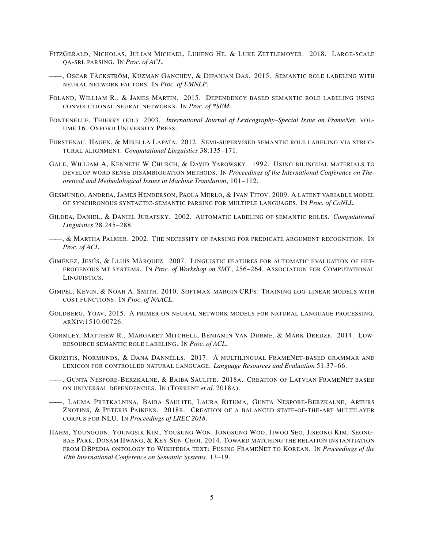- FITZGERALD, NICHOLAS, JULIAN MICHAEL, LUHENG HE, & LUKE ZETTLEMOYER. 2018. LARGE-SCALE QA-SRL PARSING. IN *Proc. of ACL*.
- ——, OSCAR TÄCKSTRÖM, KUZMAN GANCHEV, & DIPANJAN DAS. 2015. SEMANTIC ROLE LABELING WITH NEURAL NETWORK FACTORS. IN *Proc. of EMNLP*.
- FOLAND, WILLIAM R., & JAMES MARTIN. 2015. DEPENDENCY BASED SEMANTIC ROLE LABELING USING CONVOLUTIONAL NEURAL NETWORKS. IN *Proc. of \*SEM*.
- FONTENELLE, THIERRY (ED.) 2003. *International Journal of Lexicography–Special Issue on FrameNet*, VOL-UME 16. OXFORD UNIVERSITY PRESS.
- FÜRSTENAU, HAGEN, & MIRELLA LAPATA. 2012. SEMI-SUPERVISED SEMANTIC ROLE LABELING VIA STRUC-TURAL ALIGNMENT. *Computational Linguistics* 38.135–171.
- GALE, WILLIAM A, KENNETH W CHURCH, & DAVID YAROWSKY. 1992. USING BILINGUAL MATERIALS TO DEVELOP WORD SENSE DISAMBIGUATION METHODS. IN *Proceedings of the International Conference on Theoretical and Methodological Issues in Machine Translation*, 101–112.
- GESMUNDO, ANDREA, JAMES HENDERSON, PAOLA MERLO, & IVAN TITOV. 2009. A LATENT VARIABLE MODEL OF SYNCHRONOUS SYNTACTIC-SEMANTIC PARSING FOR MULTIPLE LANGUAGES. IN *Proc. of CoNLL*.
- GILDEA, DANIEL, & DANIEL JURAFSKY. 2002. AUTOMATIC LABELING OF SEMANTIC ROLES. *Computational Linguistics* 28.245–288.
- **——, & MARTHA PALMER. 2002. THE NECESSITY OF PARSING FOR PREDICATE ARGUMENT RECOGNITION. IN** *Proc. of ACL*.
- GIMÉNEZ, JESÚS, & LLUÍS MÀRQUEZ. 2007. LINGUISTIC FEATURES FOR AUTOMATIC EVALUATION OF HET-EROGENOUS MT SYSTEMS. IN *Proc. of Workshop on SMT*, 256–264. ASSOCIATION FOR COMPUTATIONAL LINGUISTICS.
- GIMPEL, KEVIN, & NOAH A. SMITH. 2010. SOFTMAX-MARGIN CRFS: TRAINING LOG-LINEAR MODELS WITH COST FUNCTIONS. IN *Proc. of NAACL*.
- GOLDBERG, YOAV, 2015. A PRIMER ON NEURAL NETWORK MODELS FOR NATURAL LANGUAGE PROCESSING. ARXIV:1510.00726.
- GORMLEY, MATTHEW R., MARGARET MITCHELL, BENJAMIN VAN DURME, & MARK DREDZE. 2014. LOW-RESOURCE SEMANTIC ROLE LABELING. IN *Proc. of ACL*.
- GRUZITIS, NORMUNDS, & DANA DANNÉLLS. 2017. A MULTILINGUAL FRAMENET-BASED GRAMMAR AND LEXICON FOR CONTROLLED NATURAL LANGUAGE. *Language Resources and Evaluation* 51.37–66.
- ——, GUNTA NESPORE-BERZKALNE, & BAIBA SAULITE. 2018A. CREATION OF LATVIAN FRAMENET BASED ON UNIVERSAL DEPENDENCIES. IN (TORRENT *et al.* 2018A).
- ——, LAUMA PRETKALNINA, BAIBA SAULITE, LAURA RITUMA, GUNTA NESPORE-BERZKALNE, ARTURS ZNOTINS, & PETERIS PAIKENS. 2018B. CREATION OF A BALANCED STATE-OF-THE-ART MULTILAYER CORPUS FOR NLU. IN *Proceedings of LREC 2018*.
- HAHM, YOUNGGUN, YOUNGSIK KIM, YOUSUNG WON, JONGSUNG WOO, JIWOO SEO, JISEONG KIM, SEONG-BAE PARK, DOSAM HWANG, & KEY-SUN-CHOI. 2014. TOWARD MATCHING THE RELATION INSTANTIATION FROM DBPEDIA ONTOLOGY TO WIKIPEDIA TEXT: FUSING FRAMENET TO KOREAN. IN *Proceedings of the 10th International Conference on Semantic Systems*, 13–19.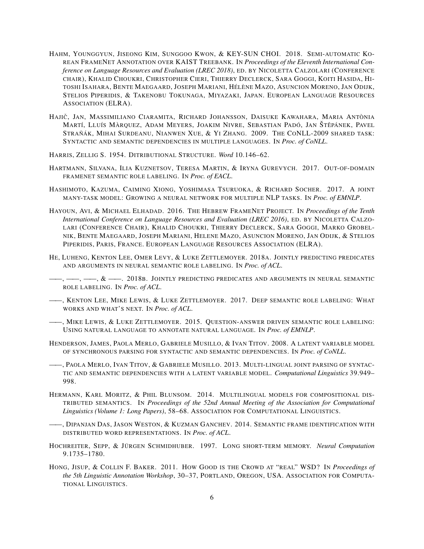- HAHM, YOUNGGYUN, JISEONG KIM, SUNGGOO KWON, & KEY-SUN CHOI. 2018. SEMI-AUTOMATIC KO-REAN FRAMENET ANNOTATION OVER KAIST TREEBANK. IN *Proceedings of the Eleventh International Conference on Language Resources and Evaluation (LREC 2018)*, ED. BY NICOLETTA CALZOLARI (CONFERENCE CHAIR), KHALID CHOUKRI, CHRISTOPHER CIERI, THIERRY DECLERCK, SARA GOGGI, KOITI HASIDA, HI-TOSHI ISAHARA, BENTE MAEGAARD, JOSEPH MARIANI, HÉLÈNE MAZO, ASUNCION MORENO, JAN ODIJK, STELIOS PIPERIDIS, & TAKENOBU TOKUNAGA, MIYAZAKI, JAPAN. EUROPEAN LANGUAGE RESOURCES ASSOCIATION (ELRA).
- HAJICˇ , JAN, MASSIMILIANO CIARAMITA, RICHARD JOHANSSON, DAISUKE KAWAHARA, MARIA ANTÒNIA MARTÍ, LLUÍS MÀRQUEZ, ADAM MEYERS, JOAKIM NIVRE, SEBASTIAN PADÓ, JAN ŠTĚPÁNEK, PAVEL STRAŇÁK, MIHAI SURDEANU, NIANWEN XUE, & YI ZHANG. 2009. THE CONLL-2009 SHARED TASK: SYNTACTIC AND SEMANTIC DEPENDENCIES IN MULTIPLE LANGUAGES. IN *Proc. of CoNLL*.
- HARRIS, ZELLIG S. 1954. DITRIBUTIONAL STRUCTURE. *Word* 10.146–62.
- HARTMANN, SILVANA, ILIA KUZNETSOV, TERESA MARTIN, & IRYNA GUREVYCH. 2017. OUT-OF-DOMAIN FRAMENET SEMANTIC ROLE LABELING. IN *Proc. of EACL*.
- HASHIMOTO, KAZUMA, CAIMING XIONG, YOSHIMASA TSURUOKA, & RICHARD SOCHER. 2017. A JOINT MANY-TASK MODEL: GROWING A NEURAL NETWORK FOR MULTIPLE NLP TASKS. IN *Proc. of EMNLP*.
- HAYOUN, AVI, & MICHAEL ELHADAD. 2016. THE HEBREW FRAMENET PROJECT. IN *Proceedings of the Tenth International Conference on Language Resources and Evaluation (LREC 2016)*, ED. BY NICOLETTA CALZO-LARI (CONFERENCE CHAIR), KHALID CHOUKRI, THIERRY DECLERCK, SARA GOGGI, MARKO GROBEL-NIK, BENTE MAEGAARD, JOSEPH MARIANI, HELENE MAZO, ASUNCION MORENO, JAN ODIJK, & STELIOS PIPERIDIS, PARIS, FRANCE. EUROPEAN LANGUAGE RESOURCES ASSOCIATION (ELRA).
- HE, LUHENG, KENTON LEE, OMER LEVY, & LUKE ZETTLEMOYER. 2018A. JOINTLY PREDICTING PREDICATES AND ARGUMENTS IN NEURAL SEMANTIC ROLE LABELING. IN *Proc. of ACL*.
- —, ——,  $\&$  ——. 2018b. Jointly predicting predicates and arguments in neural semantic ROLE LABELING. IN *Proc. of ACL*.
- ——, KENTON LEE, MIKE LEWIS, & LUKE ZETTLEMOYER. 2017. DEEP SEMANTIC ROLE LABELING: WHAT WORKS AND WHAT'S NEXT. IN *Proc. of ACL*.
- ——, MIKE LEWIS, & LUKE ZETTLEMOYER. 2015. QUESTION-ANSWER DRIVEN SEMANTIC ROLE LABELING: USING NATURAL LANGUAGE TO ANNOTATE NATURAL LANGUAGE. IN *Proc. of EMNLP*.
- HENDERSON, JAMES, PAOLA MERLO, GABRIELE MUSILLO, & IVAN TITOV. 2008. A LATENT VARIABLE MODEL OF SYNCHRONOUS PARSING FOR SYNTACTIC AND SEMANTIC DEPENDENCIES. IN *Proc. of CoNLL*.
- ——, PAOLA MERLO, IVAN TITOV, & GABRIELE MUSILLO. 2013. MULTI-LINGUAL JOINT PARSING OF SYNTAC-TIC AND SEMANTIC DEPENDENCIES WITH A LATENT VARIABLE MODEL. *Computational Linguistics* 39.949– 998.
- HERMANN, KARL MORITZ, & PHIL BLUNSOM. 2014. MULTILINGUAL MODELS FOR COMPOSITIONAL DIS-TRIBUTED SEMANTICS. IN *Proceedings of the 52nd Annual Meeting of the Association for Computational Linguistics (Volume 1: Long Papers)*, 58–68. ASSOCIATION FOR COMPUTATIONAL LINGUISTICS.
- -, Dipanjan Das, Jason Weston, & Kuzman Ganchev. 2014. Semantic frame identification with DISTRIBUTED WORD REPRESENTATIONS. IN *Proc. of ACL*.
- HOCHREITER, SEPP, & JÜRGEN SCHMIDHUBER. 1997. LONG SHORT-TERM MEMORY. *Neural Computation* 9.1735–1780.
- HONG, JISUP, & COLLIN F. BAKER. 2011. HOW GOOD IS THE CROWD AT "REAL" WSD? IN *Proceedings of the 5th Linguistic Annotation Workshop*, 30–37, PORTLAND, OREGON, USA. ASSOCIATION FOR COMPUTA-TIONAL LINGUISTICS.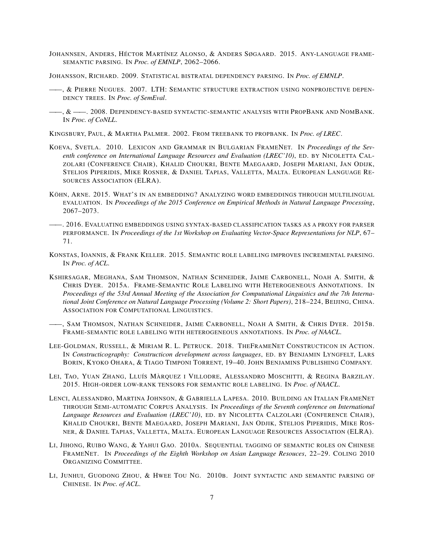- JOHANNSEN, ANDERS, HÉCTOR MARTÍNEZ ALONSO, & ANDERS SØGAARD. 2015. ANY-LANGUAGE FRAME-SEMANTIC PARSING. IN *Proc. of EMNLP*, 2062–2066.
- JOHANSSON, RICHARD. 2009. STATISTICAL BISTRATAL DEPENDENCY PARSING. IN *Proc. of EMNLP*.
- ——, & PIERRE NUGUES. 2007. LTH: SEMANTIC STRUCTURE EXTRACTION USING NONPROJECTIVE DEPEN-DENCY TREES. IN *Proc. of SemEval*.
- ——, & ——, 2008. DEPENDENCY-BASED SYNTACTIC-SEMANTIC ANALYSIS WITH PROPBANK AND NOMBANK. IN *Proc. of CoNLL*.

KINGSBURY, PAUL, & MARTHA PALMER. 2002. FROM TREEBANK TO PROPBANK. IN *Proc. of LREC*.

- KOEVA, SVETLA. 2010. LEXICON AND GRAMMAR IN BULGARIAN FRAMENET. IN *Proceedings of the Seventh conference on International Language Resources and Evaluation (LREC'10)*, ED. BY NICOLETTA CAL-ZOLARI (CONFERENCE CHAIR), KHALID CHOUKRI, BENTE MAEGAARD, JOSEPH MARIANI, JAN ODIJK, STELIOS PIPERIDIS, MIKE ROSNER, & DANIEL TAPIAS, VALLETTA, MALTA. EUROPEAN LANGUAGE RE-SOURCES ASSOCIATION (ELRA).
- KÖHN, ARNE. 2015. WHAT'S IN AN EMBEDDING? ANALYZING WORD EMBEDDINGS THROUGH MULTILINGUAL EVALUATION. IN *Proceedings of the 2015 Conference on Empirical Methods in Natural Language Processing*, 2067–2073.
- ——. 2016. EVALUATING EMBEDDINGS USING SYNTAX-BASED CLASSIFICATION TASKS AS A PROXY FOR PARSER PERFORMANCE. IN *Proceedings of the 1st Workshop on Evaluating Vector-Space Representations for NLP*, 67– 71.
- KONSTAS, IOANNIS, & FRANK KELLER. 2015. SEMANTIC ROLE LABELING IMPROVES INCREMENTAL PARSING. IN *Proc. of ACL*.
- KSHIRSAGAR, MEGHANA, SAM THOMSON, NATHAN SCHNEIDER, JAIME CARBONELL, NOAH A. SMITH, & CHRIS DYER. 2015A. FRAME-SEMANTIC ROLE LABELING WITH HETEROGENEOUS ANNOTATIONS. IN *Proceedings of the 53rd Annual Meeting of the Association for Computational Linguistics and the 7th International Joint Conference on Natural Language Processing (Volume 2: Short Papers)*, 218–224, BEIJING, CHINA. ASSOCIATION FOR COMPUTATIONAL LINGUISTICS.
- ——, SAM THOMSON, NATHAN SCHNEIDER, JAIME CARBONELL, NOAH A SMITH, & CHRIS DYER. 2015B. FRAME-SEMANTIC ROLE LABELING WITH HETEROGENEOUS ANNOTATIONS. IN *Proc. of NAACL*.
- LEE-GOLDMAN, RUSSELL, & MIRIAM R. L. PETRUCK. 2018. THEFRAMENET CONSTRUCTICON IN ACTION. IN *Constructicography: Constructicon development across languages*, ED. BY BENJAMIN LYNGFELT, LARS BORIN, KYOKO OHARA, & TIAGO TIMPONI TORRENT, 19–40. JOHN BENJAMINS PUBLISHING COMPANY.
- LEI, TAO, YUAN ZHANG, LLUÍS MÀRQUEZ I VILLODRE, ALESSANDRO MOSCHITTI, & REGINA BARZILAY. 2015. HIGH-ORDER LOW-RANK TENSORS FOR SEMANTIC ROLE LABELING. IN *Proc. of NAACL*.
- LENCI, ALESSANDRO, MARTINA JOHNSON, & GABRIELLA LAPESA. 2010. BUILDING AN ITALIAN FRAMENET THROUGH SEMI-AUTOMATIC CORPUS ANALYSIS. IN *Proceedings of the Seventh conference on International Language Resources and Evaluation (LREC'10)*, ED. BY NICOLETTA CALZOLARI (CONFERENCE CHAIR), KHALID CHOUKRI, BENTE MAEGAARD, JOSEPH MARIANI, JAN ODJIK, STELIOS PIPERIDIS, MIKE ROS-NER, & DANIEL TAPIAS, VALLETTA, MALTA. EUROPEAN LANGUAGE RESOURCES ASSOCIATION (ELRA).
- LI, JIHONG, RUIBO WANG, & YAHUI GAO. 2010A. SEQUENTIAL TAGGING OF SEMANTIC ROLES ON CHINESE FRAMENET. IN *Proceedings of the Eighth Workshop on Asian Language Resouces*, 22–29. COLING 2010 ORGANIZING COMMITTEE.
- LI, JUNHUI, GUODONG ZHOU, & HWEE TOU NG. 2010B. JOINT SYNTACTIC AND SEMANTIC PARSING OF CHINESE. IN *Proc. of ACL*.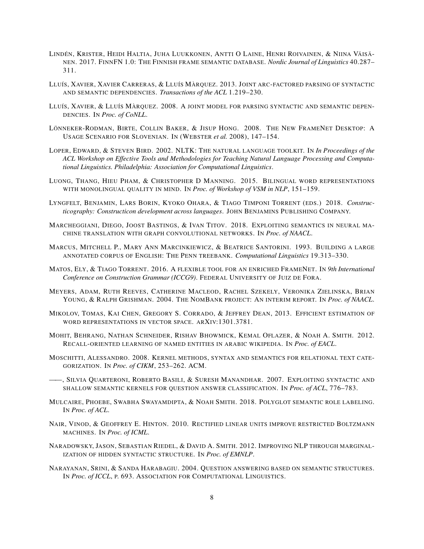- LINDÉN, KRISTER, HEIDI HALTIA, JUHA LUUKKONEN, ANTTI O LAINE, HENRI ROIVAINEN, & NIINA VÄISÄ-NEN. 2017. FINNFN 1.0: THE FINNISH FRAME SEMANTIC DATABASE. *Nordic Journal of Linguistics* 40.287– 311.
- LLUÍS, XAVIER, XAVIER CARRERAS, & LLUÍS MÀRQUEZ. 2013. JOINT ARC-FACTORED PARSING OF SYNTACTIC AND SEMANTIC DEPENDENCIES. *Transactions of the ACL* 1.219–230.
- LLUÍS, XAVIER, & LLUÍS MÀRQUEZ. 2008. A JOINT MODEL FOR PARSING SYNTACTIC AND SEMANTIC DEPEN-DENCIES. IN *Proc. of CoNLL*.
- LÖNNEKER-RODMAN, BIRTE, COLLIN BAKER, & JISUP HONG. 2008. THE NEW FRAMENET DESKTOP: A USAGE SCENARIO FOR SLOVENIAN. IN (WEBSTER *et al.* 2008), 147–154.
- LOPER, EDWARD, & STEVEN BIRD. 2002. NLTK: THE NATURAL LANGUAGE TOOLKIT. IN *In Proceedings of the ACL Workshop on Effective Tools and Methodologies for Teaching Natural Language Processing and Computational Linguistics. Philadelphia: Association for Computational Linguistics*.
- LUONG, THANG, HIEU PHAM, & CHRISTOPHER D MANNING. 2015. BILINGUAL WORD REPRESENTATIONS WITH MONOLINGUAL QUALITY IN MIND. IN *Proc. of Workshop of VSM in NLP*, 151–159.
- LYNGFELT, BENJAMIN, LARS BORIN, KYOKO OHARA, & TIAGO TIMPONI TORRENT (EDS.) 2018. *Constructicography: Constructicon development across languages*. JOHN BENJAMINS PUBLISHING COMPANY.
- MARCHEGGIANI, DIEGO, JOOST BASTINGS, & IVAN TITOV. 2018. EXPLOITING SEMANTICS IN NEURAL MA-CHINE TRANSLATION WITH GRAPH CONVOLUTIONAL NETWORKS. IN *Proc. of NAACL*.
- MARCUS, MITCHELL P., MARY ANN MARCINKIEWICZ, & BEATRICE SANTORINI. 1993. BUILDING A LARGE ANNOTATED CORPUS OF ENGLISH: THE PENN TREEBANK. *Computational Linguistics* 19.313–330.
- MATOS, ELY, & TIAGO TORRENT. 2016. A FLEXIBLE TOOL FOR AN ENRICHED FRAMENET. IN *9th International Conference on Construction Grammar (ICCG9)*. FEDERAL UNIVERSITY OF JUIZ DE FORA.
- MEYERS, ADAM, RUTH REEVES, CATHERINE MACLEOD, RACHEL SZEKELY, VERONIKA ZIELINSKA, BRIAN YOUNG, & RALPH GRISHMAN. 2004. THE NOMBANK PROJECT: AN INTERIM REPORT. IN *Proc. of NAACL*.
- MIKOLOV, TOMAS, KAI CHEN, GREGORY S. CORRADO, & JEFFREY DEAN, 2013. EFFICIENT ESTIMATION OF WORD REPRESENTATIONS IN VECTOR SPACE. ARXIV:1301.3781.
- MOHIT, BEHRANG, NATHAN SCHNEIDER, RISHAV BHOWMICK, KEMAL OFLAZER, & NOAH A. SMITH. 2012. RECALL-ORIENTED LEARNING OF NAMED ENTITIES IN ARABIC WIKIPEDIA. IN *Proc. of EACL*.
- MOSCHITTI, ALESSANDRO. 2008. KERNEL METHODS, SYNTAX AND SEMANTICS FOR RELATIONAL TEXT CATE-GORIZATION. IN *Proc. of CIKM*, 253–262. ACM.
- ——, SILVIA QUARTERONI, ROBERTO BASILI, & SURESH MANANDHAR. 2007. EXPLOITING SYNTACTIC AND SHALLOW SEMANTIC KERNELS FOR QUESTION ANSWER CLASSIFICATION. IN *Proc. of ACL*, 776–783.
- MULCAIRE, PHOEBE, SWABHA SWAYAMDIPTA, & NOAH SMITH. 2018. POLYGLOT SEMANTIC ROLE LABELING. IN *Proc. of ACL*.
- NAIR, VINOD, & GEOFFREY E. HINTON. 2010. RECTIFIED LINEAR UNITS IMPROVE RESTRICTED BOLTZMANN MACHINES. IN *Proc. of ICML*.
- NARADOWSKY, JASON, SEBASTIAN RIEDEL, & DAVID A. SMITH. 2012. IMPROVING NLP THROUGH MARGINAL-IZATION OF HIDDEN SYNTACTIC STRUCTURE. IN *Proc. of EMNLP*.
- NARAYANAN, SRINI, & SANDA HARABAGIU. 2004. QUESTION ANSWERING BASED ON SEMANTIC STRUCTURES. IN *Proc. of ICCL*, P. 693. ASSOCIATION FOR COMPUTATIONAL LINGUISTICS.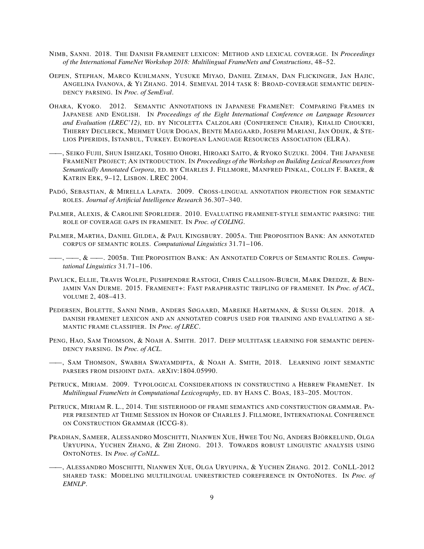- NIMB, SANNI. 2018. THE DANISH FRAMENET LEXICON: METHOD AND LEXICAL COVERAGE. IN *Proceedings of the International FameNet Workshop 2018: Multilingual FrameNets and Constructions*, 48–52.
- OEPEN, STEPHAN, MARCO KUHLMANN, YUSUKE MIYAO, DANIEL ZEMAN, DAN FLICKINGER, JAN HAJIC, ANGELINA IVANOVA, & YI ZHANG. 2014. SEMEVAL 2014 TASK 8: BROAD-COVERAGE SEMANTIC DEPEN-DENCY PARSING. IN *Proc. of SemEval*.
- OHARA, KYOKO. 2012. SEMANTIC ANNOTATIONS IN JAPANESE FRAMENET: COMPARING FRAMES IN JAPANESE AND ENGLISH. IN *Proceedings of the Eight International Conference on Language Resources and Evaluation (LREC'12)*, ED. BY NICOLETTA CALZOLARI (CONFERENCE CHAIR), KHALID CHOUKRI, THIERRY DECLERCK, MEHMET UGUR DOGAN, BENTE MAEGAARD, JOSEPH MARIANI, JAN ODIJK, & STE-LIOS PIPERIDIS, ISTANBUL, TURKEY. EUROPEAN LANGUAGE RESOURCES ASSOCIATION (ELRA).
- ——, SEIKO FUJII, SHUN ISHIZAKI, TOSHIO OHORI, HIROAKI SAITO, & RYOKO SUZUKI. 2004. THE JAPANESE FRAMENET PROJECT; AN INTRODUCTION. IN *Proceedings of the Workshop on Building Lexical Resources from Semantically Annotated Corpora*, ED. BY CHARLES J. FILLMORE, MANFRED PINKAL, COLLIN F. BAKER, & KATRIN ERK, 9–12, LISBON. LREC 2004.
- PADÓ, SEBASTIAN, & MIRELLA LAPATA. 2009. CROSS-LINGUAL ANNOTATION PROJECTION FOR SEMANTIC ROLES. *Journal of Artificial Intelligence Research* 36.307–340.
- PALMER, ALEXIS, & CAROLINE SPORLEDER. 2010. EVALUATING FRAMENET-STYLE SEMANTIC PARSING: THE ROLE OF COVERAGE GAPS IN FRAMENET. IN *Proc. of COLING*.
- PALMER, MARTHA, DANIEL GILDEA, & PAUL KINGSBURY. 2005A. THE PROPOSITION BANK: AN ANNOTATED CORPUS OF SEMANTIC ROLES. *Computational Linguistics* 31.71–106.
- ——, ——, & ——. 2005B. THE PROPOSITION BANK: AN ANNOTATED CORPUS OF SEMANTIC ROLES. *Computational Linguistics* 31.71–106.
- PAVLICK, ELLIE, TRAVIS WOLFE, PUSHPENDRE RASTOGI, CHRIS CALLISON-BURCH, MARK DREDZE, & BEN-JAMIN VAN DURME. 2015. FRAMENET+: FAST PARAPHRASTIC TRIPLING OF FRAMENET. IN *Proc. of ACL*, VOLUME 2, 408–413.
- PEDERSEN, BOLETTE, SANNI NIMB, ANDERS SØGAARD, MAREIKE HARTMANN, & SUSSI OLSEN. 2018. A DANISH FRAMENET LEXICON AND AN ANNOTATED CORPUS USED FOR TRAINING AND EVALUATING A SE-MANTIC FRAME CLASSIFIER. IN *Proc. of LREC*.
- PENG, HAO, SAM THOMSON, & NOAH A. SMITH. 2017. DEEP MULTITASK LEARNING FOR SEMANTIC DEPEN-DENCY PARSING. IN *Proc. of ACL*.
- ——, SAM THOMSON, SWABHA SWAYAMDIPTA, & NOAH A. SMITH, 2018. LEARNING JOINT SEMANTIC PARSERS FROM DISJOINT DATA. ARXIV:1804.05990.
- PETRUCK, MIRIAM. 2009. TYPOLOGICAL CONSIDERATIONS IN CONSTRUCTING A HEBREW FRAMENET. IN *Multilingual FrameNets in Computational Lexicography*, ED. BY HANS C. BOAS, 183–205. MOUTON.
- PETRUCK, MIRIAM R. L., 2014. THE SISTERHOOD OF FRAME SEMANTICS AND CONSTRUCTION GRAMMAR. PA-PER PRESENTED AT THEME SESSION IN HONOR OF CHARLES J. FILLMORE, INTERNATIONAL CONFERENCE ON CONSTRUCTION GRAMMAR (ICCG-8).
- PRADHAN, SAMEER, ALESSANDRO MOSCHITTI, NIANWEN XUE, HWEE TOU NG, ANDERS BJÖRKELUND, OLGA URYUPINA, YUCHEN ZHANG, & ZHI ZHONG. 2013. TOWARDS ROBUST LINGUISTIC ANALYSIS USING ONTONOTES. IN *Proc. of CoNLL*.
- ——, ALESSANDRO MOSCHITTI, NIANWEN XUE, OLGA URYUPINA, & YUCHEN ZHANG. 2012. CONLL-2012 SHARED TASK: MODELING MULTILINGUAL UNRESTRICTED COREFERENCE IN ONTONOTES. IN *Proc. of EMNLP*.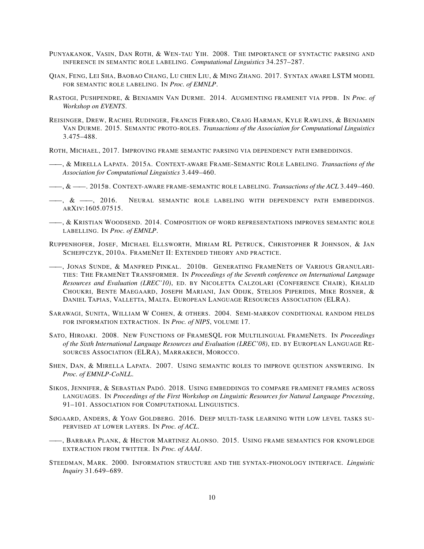- PUNYAKANOK, VASIN, DAN ROTH, & WEN-TAU YIH. 2008. THE IMPORTANCE OF SYNTACTIC PARSING AND INFERENCE IN SEMANTIC ROLE LABELING. *Computational Linguistics* 34.257–287.
- QIAN, FENG, LEI SHA, BAOBAO CHANG, LU CHEN LIU, & MING ZHANG. 2017. SYNTAX AWARE LSTM MODEL FOR SEMANTIC ROLE LABELING. IN *Proc. of EMNLP*.
- RASTOGI, PUSHPENDRE, & BENJAMIN VAN DURME. 2014. AUGMENTING FRAMENET VIA PPDB. IN *Proc. of Workshop on EVENTS*.
- REISINGER, DREW, RACHEL RUDINGER, FRANCIS FERRARO, CRAIG HARMAN, KYLE RAWLINS, & BENJAMIN VAN DURME. 2015. SEMANTIC PROTO-ROLES. *Transactions of the Association for Computational Linguistics* 3.475–488.
- ROTH, MICHAEL, 2017. IMPROVING FRAME SEMANTIC PARSING VIA DEPENDENCY PATH EMBEDDINGS.
- ——, & MIRELLA LAPATA. 2015A. CONTEXT-AWARE FRAME-SEMANTIC ROLE LABELING. *Transactions of the Association for Computational Linguistics* 3.449–460.
- ——, & ——. 2015B. CONTEXT-AWARE FRAME-SEMANTIC ROLE LABELING. *Transactions of the ACL* 3.449–460.
- $\longrightarrow$ ,  $\& \longrightarrow$ , 2016. Neural semantic role labeling with dependency path embeddings. ARXIV:1605.07515.
- **——, & KRISTIAN WOODSEND. 2014. COMPOSITION OF WORD REPRESENTATIONS IMPROVES SEMANTIC ROLE** LABELLING. IN *Proc. of EMNLP*.
- RUPPENHOFER, JOSEF, MICHAEL ELLSWORTH, MIRIAM RL PETRUCK, CHRISTOPHER R JOHNSON, & JAN SCHEFFCZYK, 2010A. FRAMENET II: EXTENDED THEORY AND PRACTICE.
- ——, JONAS SUNDE, & MANFRED PINKAL. 2010B. GENERATING FRAMENETS OF VARIOUS GRANULARI-TIES: THE FRAMENET TRANSFORMER. IN *Proceedings of the Seventh conference on International Language Resources and Evaluation (LREC'10)*, ED. BY NICOLETTA CALZOLARI (CONFERENCE CHAIR), KHALID CHOUKRI, BENTE MAEGAARD, JOSEPH MARIANI, JAN ODIJK, STELIOS PIPERIDIS, MIKE ROSNER, & DANIEL TAPIAS, VALLETTA, MALTA. EUROPEAN LANGUAGE RESOURCES ASSOCIATION (ELRA).
- SARAWAGI, SUNITA, WILLIAM W COHEN, & OTHERS. 2004. SEMI-MARKOV CONDITIONAL RANDOM FIELDS FOR INFORMATION EXTRACTION. IN *Proc. of NIPS*, VOLUME 17.
- SATO, HIROAKI. 2008. NEW FUNCTIONS OF FRAMESQL FOR MULTILINGUAL FRAMENETS. IN *Proceedings of the Sixth International Language Resources and Evaluation (LREC'08)*, ED. BY EUROPEAN LANGUAGE RE-SOURCES ASSOCIATION (ELRA), MARRAKECH, MOROCCO.
- SHEN, DAN, & MIRELLA LAPATA. 2007. USING SEMANTIC ROLES TO IMPROVE QUESTION ANSWERING. IN *Proc. of EMNLP-CoNLL*.
- SIKOS, JENNIFER, & SEBASTIAN PADÓ. 2018. USING EMBEDDINGS TO COMPARE FRAMENET FRAMES ACROSS LANGUAGES. IN *Proceedings of the First Workshop on Linguistic Resources for Natural Language Processing*, 91–101. ASSOCIATION FOR COMPUTATIONAL LINGUISTICS.
- SØGAARD, ANDERS, & YOAV GOLDBERG. 2016. DEEP MULTI-TASK LEARNING WITH LOW LEVEL TASKS SU-PERVISED AT LOWER LAYERS. IN *Proc. of ACL*.
- ——, BARBARA PLANK, & HECTOR MARTINEZ ALONSO. 2015. USING FRAME SEMANTICS FOR KNOWLEDGE EXTRACTION FROM TWITTER. IN *Proc. of AAAI*.
- STEEDMAN, MARK. 2000. INFORMATION STRUCTURE AND THE SYNTAX-PHONOLOGY INTERFACE. *Linguistic Inquiry* 31.649–689.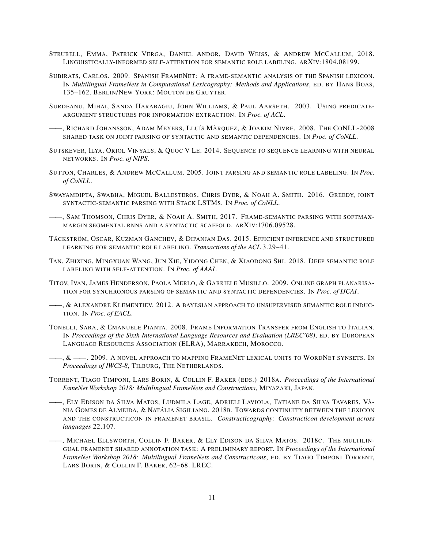- STRUBELL, EMMA, PATRICK VERGA, DANIEL ANDOR, DAVID WEISS, & ANDREW MCCALLUM, 2018. LINGUISTICALLY-INFORMED SELF-ATTENTION FOR SEMANTIC ROLE LABELING. ARXIV:1804.08199.
- SUBIRATS, CARLOS. 2009. SPANISH FRAMENET: A FRAME-SEMANTIC ANALYSIS OF THE SPANISH LEXICON. IN *Multilingual FrameNets in Computational Lexicography: Methods and Applications*, ED. BY HANS BOAS, 135–162. BERLIN/NEW YORK: MOUTON DE GRUYTER.
- SURDEANU, MIHAI, SANDA HARABAGIU, JOHN WILLIAMS, & PAUL AARSETH. 2003. USING PREDICATE-ARGUMENT STRUCTURES FOR INFORMATION EXTRACTION. IN *Proc. of ACL*.
- ——, RICHARD JOHANSSON, ADAM MEYERS, LLUÍS MÀRQUEZ, & JOAKIM NIVRE. 2008. THE CONLL-2008 SHARED TASK ON JOINT PARSING OF SYNTACTIC AND SEMANTIC DEPENDENCIES. IN *Proc. of CoNLL*.
- SUTSKEVER, ILYA, ORIOL VINYALS, & QUOC V LE. 2014. SEQUENCE TO SEQUENCE LEARNING WITH NEURAL NETWORKS. IN *Proc. of NIPS*.
- SUTTON, CHARLES, & ANDREW MCCALLUM. 2005. JOINT PARSING AND SEMANTIC ROLE LABELING. IN *Proc. of CoNLL*.
- SWAYAMDIPTA, SWABHA, MIGUEL BALLESTEROS, CHRIS DYER, & NOAH A. SMITH. 2016. GREEDY, JOINT SYNTACTIC-SEMANTIC PARSING WITH STACK LSTMS. IN *Proc. of CoNLL*.
- ——, SAM THOMSON, CHRIS DYER, & NOAH A. SMITH, 2017. FRAME-SEMANTIC PARSING WITH SOFTMAX-MARGIN SEGMENTAL RNNS AND A SYNTACTIC SCAFFOLD. ARXIV:1706.09528.
- TÄCKSTRÖM, OSCAR, KUZMAN GANCHEV, & DIPANJAN DAS. 2015. EFFICIENT INFERENCE AND STRUCTURED LEARNING FOR SEMANTIC ROLE LABELING. *Transactions of the ACL* 3.29–41.
- TAN, ZHIXING, MINGXUAN WANG, JUN XIE, YIDONG CHEN, & XIAODONG SHI. 2018. DEEP SEMANTIC ROLE LABELING WITH SELF-ATTENTION. IN *Proc. of AAAI*.
- TITOV, IVAN, JAMES HENDERSON, PAOLA MERLO, & GABRIELE MUSILLO. 2009. ONLINE GRAPH PLANARISA-TION FOR SYNCHRONOUS PARSING OF SEMANTIC AND SYNTACTIC DEPENDENCIES. IN *Proc. of IJCAI*.
- ——, & ALEXANDRE KLEMENTIEV. 2012. A BAYESIAN APPROACH TO UNSUPERVISED SEMANTIC ROLE INDUC-TION. IN *Proc. of EACL*.
- TONELLI, SARA, & EMANUELE PIANTA. 2008. FRAME INFORMATION TRANSFER FROM ENGLISH TO ITALIAN. IN *Proceedings of the Sixth International Language Resources and Evaluation (LREC'08)*, ED. BY EUROPEAN LANGUAGE RESOURCES ASSOCIATION (ELRA), MARRAKECH, MOROCCO.
- $-,\,\&\,\_\!\_\!\_$  2009. A novel approach to mapping FrameNet lexical units to WordNet synsets. In *Proceedings of IWCS-8*, TILBURG, THE NETHERLANDS.
- TORRENT, TIAGO TIMPONI, LARS BORIN, & COLLIN F. BAKER (EDS.) 2018A. *Proceedings of the International FameNet Workshop 2018: Multilingual FrameNets and Constructions*, MIYAZAKI, JAPAN.
- ——, ELY EDISON DA SILVA MATOS, LUDMILA LAGE, ADRIELI LAVIOLA, TATIANE DA SILVA TAVARES, VÂ-NIA GOMES DE ALMEIDA, & NATÁLIA SIGILIANO. 2018B. TOWARDS CONTINUITY BETWEEN THE LEXICON AND THE CONSTRUCTICON IN FRAMENET BRASIL. *Constructicography: Constructicon development across languages* 22.107.
- ——, MICHAEL ELLSWORTH, COLLIN F. BAKER, & ELY EDISON DA SILVA MATOS. 2018C. THE MULTILIN-GUAL FRAMENET SHARED ANNOTATION TASK: A PRELIMINARY REPORT. IN *Proceedings of the International FrameNet Workshop 2018: Multilingual FrameNets and Constructicons*, ED. BY TIAGO TIMPONI TORRENT, LARS BORIN, & COLLIN F. BAKER, 62–68. LREC.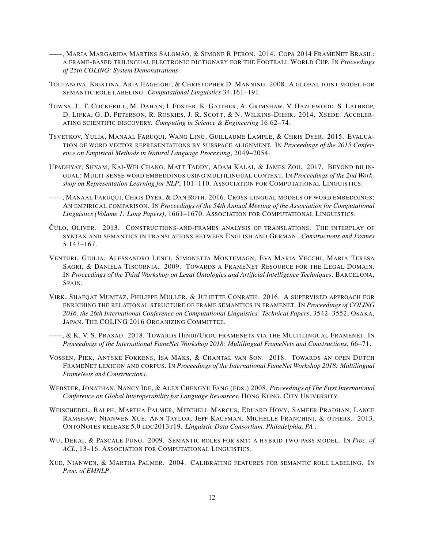- ——, MARIA MARGARIDA MARTINS SALOMÃO, & SIMONE R PERON. 2014. COPA 2014 FRAMENET BRASIL: A FRAME-BASED TRILINGUAL ELECTRONIC DICTIONARY FOR THE FOOTBALL WORLD CUP. IN *Proceedings of 25th COLING: System Demonstrations*.
- TOUTANOVA, KRISTINA, ARIA HAGHIGHI, & CHRISTOPHER D. MANNING. 2008. A GLOBAL JOINT MODEL FOR SEMANTIC ROLE LABELING. *Computational Linguistics* 34.161–191.
- TOWNS, J., T. COCKERILL, M. DAHAN, I. FOSTER, K. GAITHER, A. GRIMSHAW, V. HAZLEWOOD, S. LATHROP, D. LIFKA, G. D. PETERSON, R. ROSKIES, J. R. SCOTT, & N. WILKINS-DIEHR. 2014. XSEDE: ACCELER-ATING SCIENTIFIC DISCOVERY. *Computing in Science & Engineering* 16.62–74.
- TSVETKOV, YULIA, MANAAL FARUQUI, WANG LING, GUILLAUME LAMPLE, & CHRIS DYER. 2015. EVALUA-TION OF WORD VECTOR REPRESENTATIONS BY SUBSPACE ALIGNMENT. IN *Proceedings of the 2015 Conference on Empirical Methods in Natural Language Processing*, 2049–2054.
- UPADHYAY, SHYAM, KAI-WEI CHANG, MATT TADDY, ADAM KALAI, & JAMES ZOU. 2017. BEYOND BILIN-GUAL: MULTI-SENSE WORD EMBEDDINGS USING MULTILINGUAL CONTEXT. IN *Proceedings of the 2nd Workshop on Representation Learning for NLP*, 101–110. ASSOCIATION FOR COMPUTATIONAL LINGUISTICS.
- ——, MANAAL FARUQUI, CHRIS DYER, & DAN ROTH. 2016. CROSS-LINGUAL MODELS OF WORD EMBEDDINGS: AN EMPIRICAL COMPARISON. IN *Proceedings of the 54th Annual Meeting of the Association for Computational Linguistics (Volume 1: Long Papers)*, 1661–1670. ASSOCIATION FOR COMPUTATIONAL LINGUISTICS.
- CULO, OLIVER. 2013. CONSTRUCTIONS-AND-FRAMES ANALYSIS OF TRANSLATIONS: THE INTERPLAY OF SYNTAX AND SEMANTICS IN TRANSLATIONS BETWEEN ENGLISH AND GERMAN. *Constructions and Frames* 5.143–167.
- VENTURI, GIULIA, ALESSANDRO LENCI, SIMONETTA MONTEMAGN, EVA MARIA VECCHI, MARIA TERESA SAGRI, & DANIELA TISCORNIA. 2009. TOWARDS A FRAMENET RESOURCE FOR THE LEGAL DOMAIN. IN *Proceedings of the Third Workshop on Legal Ontologies and Artificial Intelligence Techniques*, BARCELONA, SPAIN.
- VIRK, SHAFQAT MUMTAZ, PHILIPPE MULLER, & JULIETTE CONRATH. 2016. A SUPERVISED APPROACH FOR ENRICHING THE RELATIONAL STRUCTURE OF FRAME SEMANTICS IN FRAMENET. IN *Proceedings of COLING 2016, the 26th International Conference on Computational Linguistics: Technical Papers*, 3542–3552, OSAKA, JAPAN. THE COLING 2016 ORGANIZING COMMITTEE.
- ——, & K. V. S. PRASAD. 2018. TOWARDS HINDI/URDU FRAMENETS VIA THE MULTILINGUAL FRAMENET. IN *Proceedings of the International FameNet Workshop 2018: Multilingual FrameNets and Constructions*, 66–71.
- VOSSEN, PIEK, ANTSKE FOKKENS, ISA MAKS, & CHANTAL VAN SON. 2018. TOWARDS AN OPEN DUTCH FRAMENET LEXICON AND CORPUS. IN *Proceedings of the International FameNet Workshop 2018: Multilingual FrameNets and Constructions*.
- WEBSTER, JONATHAN, NANCY IDE, & ALEX CHENGYU FANG (EDS.) 2008. *Proceedings of The First International Conference on Global Interoperability for Language Resources*, HONG KONG. CITY UNIVERSITY.
- WEISCHEDEL, RALPH, MARTHA PALMER, MITCHELL MARCUS, EDUARD HOVY, SAMEER PRADHAN, LANCE RAMSHAW, NIANWEN XUE, ANN TAYLOR, JEFF KAUFMAN, MICHELLE FRANCHINI, & OTHERS. 2013. ONTONOTES RELEASE 5.0 LDC2013T19. *Linguistic Data Consortium, Philadelphia, PA* .
- WU, DEKAI, & PASCALE FUNG. 2009. SEMANTIC ROLES FOR SMT: A HYBRID TWO-PASS MODEL. IN *Proc. of ACL*, 13–16. ASSOCIATION FOR COMPUTATIONAL LINGUISTICS.
- XUE, NIANWEN, & MARTHA PALMER. 2004. CALIBRATING FEATURES FOR SEMANTIC ROLE LABELING. IN *Proc. of EMNLP*.